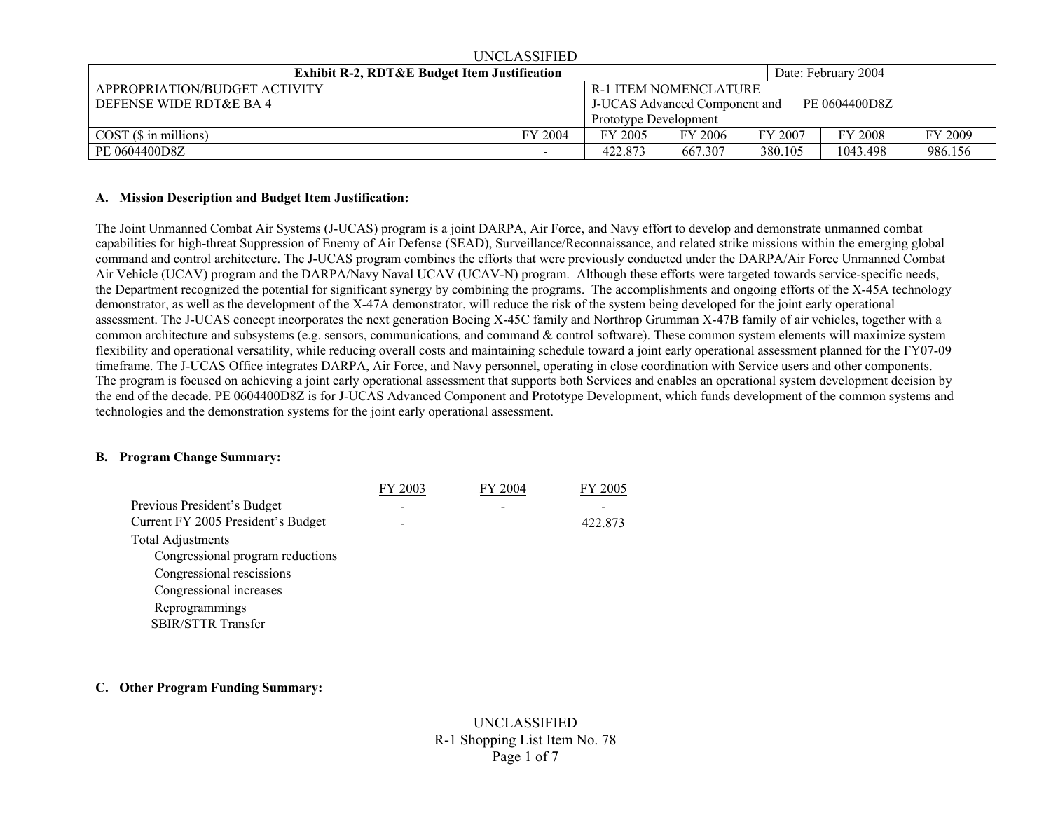| UNCLASSIFIED                                            |                                                |         |         |         |          |         |  |  |  |  |  |  |  |
|---------------------------------------------------------|------------------------------------------------|---------|---------|---------|----------|---------|--|--|--|--|--|--|--|
| <b>Exhibit R-2, RDT&amp;E Budget Item Justification</b> | Date: February 2004                            |         |         |         |          |         |  |  |  |  |  |  |  |
| APPROPRIATION/BUDGET ACTIVITY                           | R-1 ITEM NOMENCLATURE                          |         |         |         |          |         |  |  |  |  |  |  |  |
| DEFENSE WIDE RDT&E BA 4                                 | PE 0604400D8Z<br>J-UCAS Advanced Component and |         |         |         |          |         |  |  |  |  |  |  |  |
|                                                         | Prototype Development                          |         |         |         |          |         |  |  |  |  |  |  |  |
| COST(S in millions)                                     | FY 2004                                        | FY 2005 | FY 2006 | FY 2007 | FY 2008  | FY 2009 |  |  |  |  |  |  |  |
| PE 0604400D8Z                                           |                                                | 422.873 | 667.307 | 380.105 | 1043.498 | 986.156 |  |  |  |  |  |  |  |

UNICLA SSIEUED

#### **A. Mission Description and Budget Item Justification:**

The Joint Unmanned Combat Air Systems (J-UCAS) program is a joint DARPA, Air Force, and Navy effort to develop and demonstrate unmanned combat capabilities for high-threat Suppression of Enemy of Air Defense (SEAD), Surveillance/Reconnaissance, and related strike missions within the emerging global command and control architecture. The J-UCAS program combines the efforts that were previously conducted under the DARPA/Air Force Unmanned Combat Air Vehicle (UCAV) program and the DARPA/Navy Naval UCAV (UCAV-N) program. Although these efforts were targeted towards service-specific needs, the Department recognized the potential for significant synergy by combining the programs. The accomplishments and ongoing efforts of the X-45A technology demonstrator, as well as the development of the X-47A demonstrator, will reduce the risk of the system being developed for the joint early operational assessment. The J-UCAS concept incorporates the next generation Boeing X-45C family and Northrop Grumman X-47B family of air vehicles, together with a common architecture and subsystems (e.g. sensors, communications, and command & control software). These common system elements will maximize system flexibility and operational versatility, while reducing overall costs and maintaining schedule toward a joint early operational assessment planned for the FY07-09 timeframe. The J-UCAS Office integrates DARPA, Air Force, and Navy personnel, operating in close coordination with Service users and other components. The program is focused on achieving a joint early operational assessment that supports both Services and enables an operational system development decision by the end of the decade. PE 0604400D8Z is for J-UCAS Advanced Component and Prototype Development, which funds development of the common systems and technologies and the demonstration systems for the joint early operational assessment.

### **B. Program Change Summary:**

|                                    | FY 2003 | FY 2004 | FY 2005 |
|------------------------------------|---------|---------|---------|
| Previous President's Budget        |         |         |         |
| Current FY 2005 President's Budget |         |         | 422.873 |
| <b>Total Adjustments</b>           |         |         |         |
| Congressional program reductions   |         |         |         |
| Congressional rescissions          |         |         |         |
| Congressional increases            |         |         |         |
| Reprogrammings                     |         |         |         |
| <b>SBIR/STTR Transfer</b>          |         |         |         |

### **C. Other Program Funding Summary:**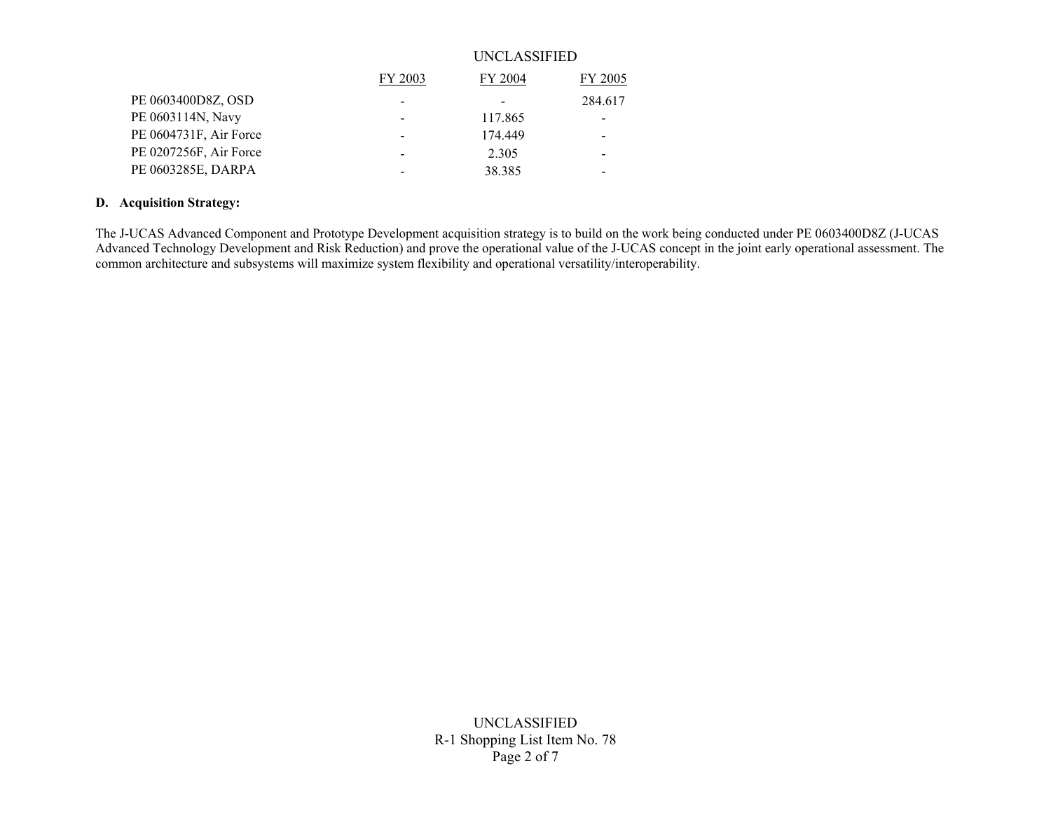|                        |                          | UNCLASSIFIED |         |  |  |  |  |  |  |  |
|------------------------|--------------------------|--------------|---------|--|--|--|--|--|--|--|
|                        | FY 2003                  | FY 2004      | FY 2005 |  |  |  |  |  |  |  |
| PE 0603400D8Z, OSD     |                          |              | 284.617 |  |  |  |  |  |  |  |
| PE 0603114N, Navy      | $\overline{\phantom{0}}$ | 117.865      |         |  |  |  |  |  |  |  |
| PE 0604731F, Air Force | $\overline{\phantom{0}}$ | 174.449      |         |  |  |  |  |  |  |  |
| PE 0207256F, Air Force | $\overline{\phantom{0}}$ | 2.305        |         |  |  |  |  |  |  |  |
| PE 0603285E, DARPA     |                          | 38.385       |         |  |  |  |  |  |  |  |

## **D. Acquisition Strategy:**

The J-UCAS Advanced Component and Prototype Development acquisition strategy is to build on the work being conducted under PE 0603400D8Z (J-UCAS Advanced Technology Development and Risk Reduction) and prove the operational value of the J-UCAS concept in the joint early operational assessment. The common architecture and subsystems will maximize system flexibility and operational versatility/interoperability.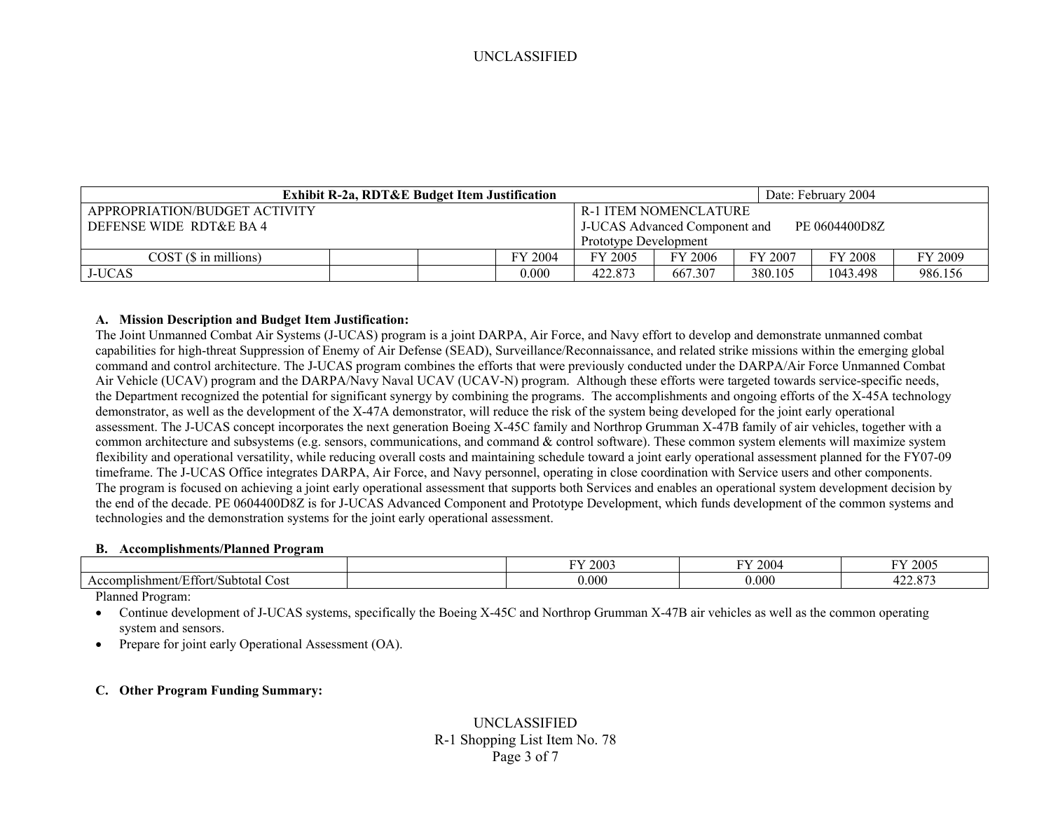|                               | <b>Exhibit R-2a, RDT&amp;E Budget Item Justification</b> | Date: February 2004                            |                              |         |                    |         |  |  |  |  |
|-------------------------------|----------------------------------------------------------|------------------------------------------------|------------------------------|---------|--------------------|---------|--|--|--|--|
| APPROPRIATION/BUDGET ACTIVITY |                                                          |                                                | <b>R-1 ITEM NOMENCLATURE</b> |         |                    |         |  |  |  |  |
| DEFENSE WIDE RDT&E BA4        |                                                          | PE 0604400D8Z<br>J-UCAS Advanced Component and |                              |         |                    |         |  |  |  |  |
|                               |                                                          | <b>Prototype Development</b>                   |                              |         |                    |         |  |  |  |  |
| COST(S in millions)           | 2004<br>FY.                                              | FY 2005                                        | FY 2006                      | FY 2007 | <sup>FY</sup> 2008 | FY 2009 |  |  |  |  |
| <b>J-UCAS</b>                 | 0.000                                                    | 422.873                                        | 667.307                      | 380.105 | 1043.498           | 986.156 |  |  |  |  |

#### **A. Mission Description and Budget Item Justification:**

The Joint Unmanned Combat Air Systems (J-UCAS) program is a joint DARPA, Air Force, and Navy effort to develop and demonstrate unmanned combat capabilities for high-threat Suppression of Enemy of Air Defense (SEAD), Surveillance/Reconnaissance, and related strike missions within the emerging global command and control architecture. The J-UCAS program combines the efforts that were previously conducted under the DARPA/Air Force Unmanned Combat Air Vehicle (UCAV) program and the DARPA/Navy Naval UCAV (UCAV-N) program. Although these efforts were targeted towards service-specific needs, the Department recognized the potential for significant synergy by combining the programs. The accomplishments and ongoing efforts of the X-45A technology demonstrator, as well as the development of the X-47A demonstrator, will reduce the risk of the system being developed for the joint early operational assessment. The J-UCAS concept incorporates the next generation Boeing X-45C family and Northrop Grumman X-47B family of air vehicles, together with a common architecture and subsystems (e.g. sensors, communications, and command & control software). These common system elements will maximize system flexibility and operational versatility, while reducing overall costs and maintaining schedule toward a joint early operational assessment planned for the FY07-09 timeframe. The J-UCAS Office integrates DARPA, Air Force, and Navy personnel, operating in close coordination with Service users and other components. The program is focused on achieving a joint early operational assessment that supports both Services and enables an operational system development decision by the end of the decade. PE 0604400D8Z is for J-UCAS Advanced Component and Prototype Development, which funds development of the common systems and technologies and the demonstration systems for the joint early operational assessment.

#### **B. Accomplishments/Planned Program**

|                                                       | 2003<br>-- | 2004<br>$\mathbf{r}$ | 2005<br>T T T             |
|-------------------------------------------------------|------------|----------------------|---------------------------|
| $\sim$<br>Accomplishment/F<br>Effort/Subtotal<br>Cost | 0.000      | 0.000(               | $\Omega$<br>100<br>422.01 |

Planned Program:

• Continue development of J-UCAS systems, specifically the Boeing X-45C and Northrop Grumman X-47B air vehicles as well as the common operating system and sensors.

•Prepare for joint early Operational Assessment (OA).

### **C. Other Program Funding Summary:**

# UNCLASSIFIED R-1 Shopping List Item No. 78 Page 3 of 7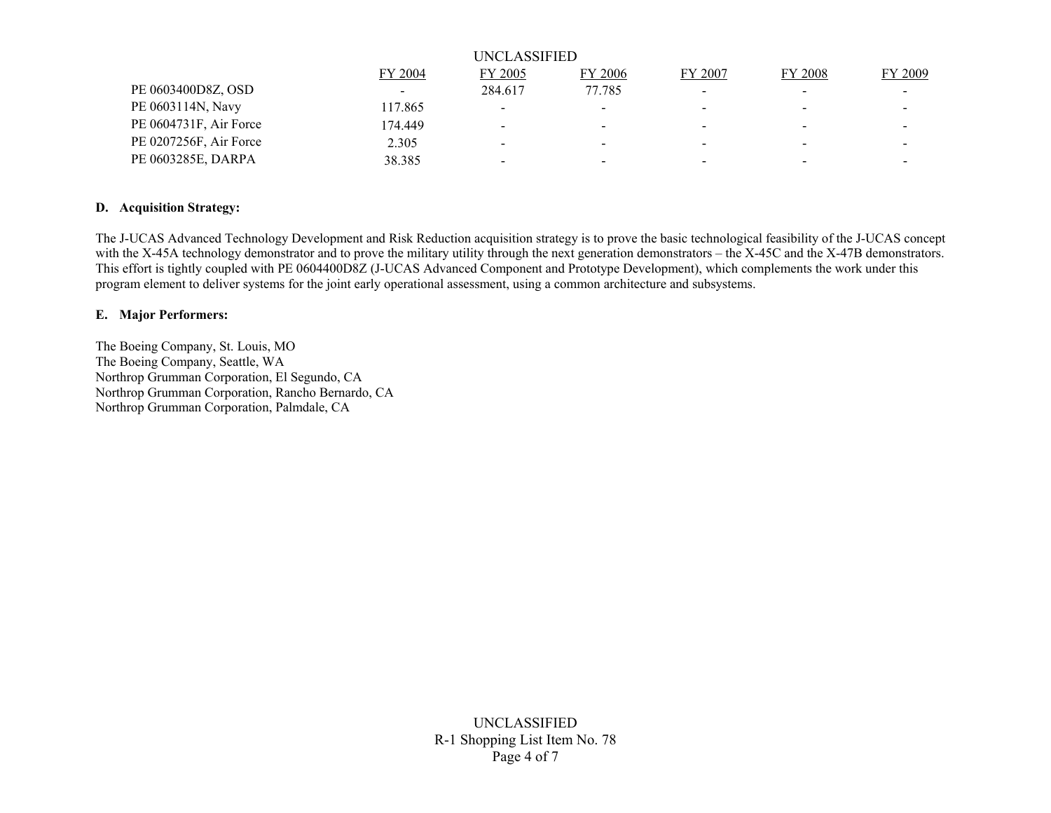|                        |         | UNCLASSIFIED             |                          |                          |         |         |
|------------------------|---------|--------------------------|--------------------------|--------------------------|---------|---------|
|                        | FY 2004 | FY 2005                  | FY 2006                  | FY 2007                  | FY 2008 | FY 2009 |
| PE 0603400D8Z, OSD     |         | 284.617                  | 77.785                   |                          |         |         |
| PE 0603114N, Navy      | 117.865 | $\sim$                   |                          |                          |         |         |
| PE 0604731F, Air Force | 174.449 | $\overline{\phantom{0}}$ | $\overline{\phantom{0}}$ |                          |         |         |
| PE 0207256F, Air Force | 2.305   | $\overline{\phantom{0}}$ | $\overline{\phantom{a}}$ |                          |         |         |
| PE 0603285E, DARPA     | 38.385  | $\overline{\phantom{a}}$ |                          | $\overline{\phantom{0}}$ |         |         |

## **D. Acquisition Strategy:**

The J-UCAS Advanced Technology Development and Risk Reduction acquisition strategy is to prove the basic technological feasibility of the J-UCAS concept with the X-45A technology demonstrator and to prove the military utility through the next generation demonstrators – the X-45C and the X-47B demonstrators. This effort is tightly coupled with PE 0604400D8Z (J-UCAS Advanced Component and Prototype Development), which complements the work under this program element to deliver systems for the joint early operational assessment, using a common architecture and subsystems.

#### **E. Major Performers:**

The Boeing Company, St. Louis, MO The Boeing Company, Seattle, WA Northrop Grumman Corporation, El Segundo, CA Northrop Grumman Corporation, Rancho Bernardo, CA Northrop Grumman Corporation, Palmdale, CA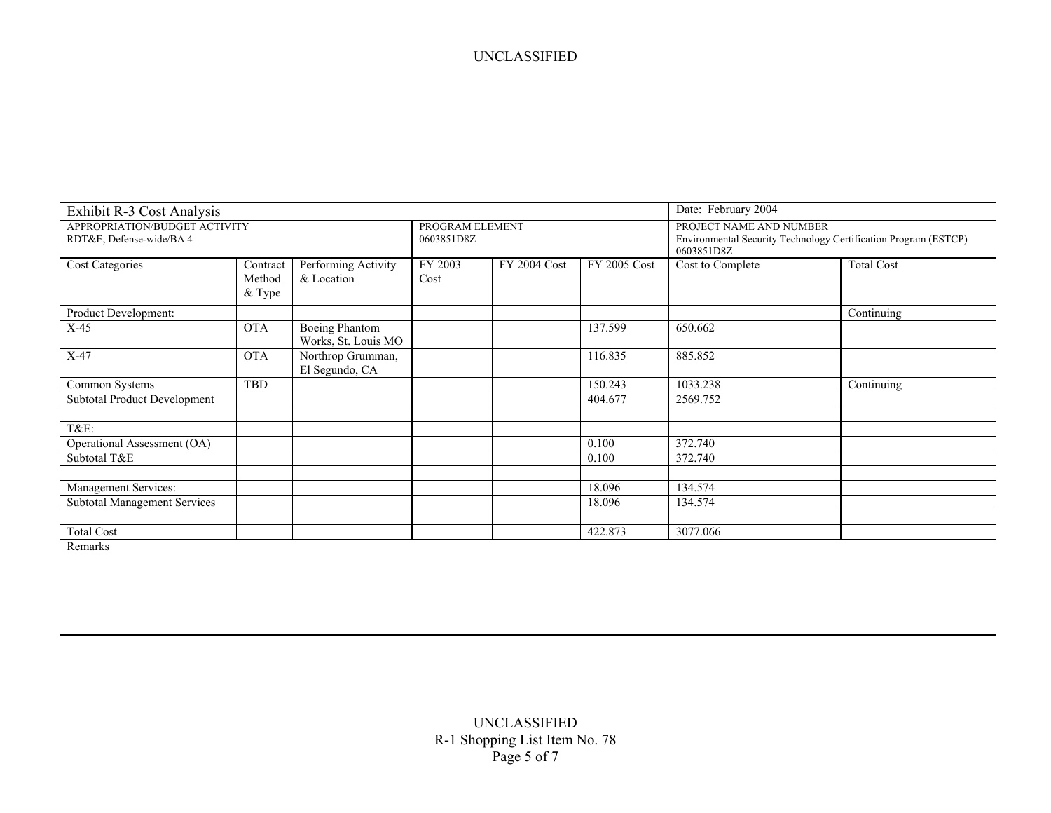| Exhibit R-3 Cost Analysis                                 |                              | Date: February 2004                          |                               |              |              |                                                                                                          |                   |  |  |  |
|-----------------------------------------------------------|------------------------------|----------------------------------------------|-------------------------------|--------------|--------------|----------------------------------------------------------------------------------------------------------|-------------------|--|--|--|
| APPROPRIATION/BUDGET ACTIVITY<br>RDT&E, Defense-wide/BA 4 |                              |                                              | PROGRAM ELEMENT<br>0603851D8Z |              |              | PROJECT NAME AND NUMBER<br>Environmental Security Technology Certification Program (ESTCP)<br>0603851D8Z |                   |  |  |  |
| <b>Cost Categories</b>                                    | Contract<br>Method<br>& Type | Performing Activity<br>& Location            | FY 2003<br>Cost               | FY 2004 Cost | FY 2005 Cost | Cost to Complete                                                                                         | <b>Total Cost</b> |  |  |  |
| Product Development:                                      |                              |                                              |                               |              |              |                                                                                                          | Continuing        |  |  |  |
| $X-45$                                                    | <b>OTA</b>                   | <b>Boeing Phantom</b><br>Works, St. Louis MO |                               |              | 137.599      | 650.662                                                                                                  |                   |  |  |  |
| $X-47$                                                    | <b>OTA</b>                   | Northrop Grumman,<br>El Segundo, CA          |                               |              | 116.835      | 885.852                                                                                                  |                   |  |  |  |
| Common Systems                                            | <b>TBD</b>                   |                                              |                               |              | 150.243      | 1033.238                                                                                                 | Continuing        |  |  |  |
| Subtotal Product Development                              |                              |                                              |                               |              | 404.677      | 2569.752                                                                                                 |                   |  |  |  |
| T&E:                                                      |                              |                                              |                               |              |              |                                                                                                          |                   |  |  |  |
| Operational Assessment (OA)                               |                              |                                              |                               |              | 0.100        | 372.740                                                                                                  |                   |  |  |  |
| Subtotal T&E                                              |                              |                                              |                               |              | 0.100        | 372.740                                                                                                  |                   |  |  |  |
| Management Services:                                      |                              |                                              |                               |              | 18.096       | 134.574                                                                                                  |                   |  |  |  |
| <b>Subtotal Management Services</b>                       |                              |                                              |                               |              | 18.096       | 134.574                                                                                                  |                   |  |  |  |
| <b>Total Cost</b>                                         |                              |                                              |                               |              | 422.873      | 3077.066                                                                                                 |                   |  |  |  |
| Remarks                                                   |                              |                                              |                               |              |              |                                                                                                          |                   |  |  |  |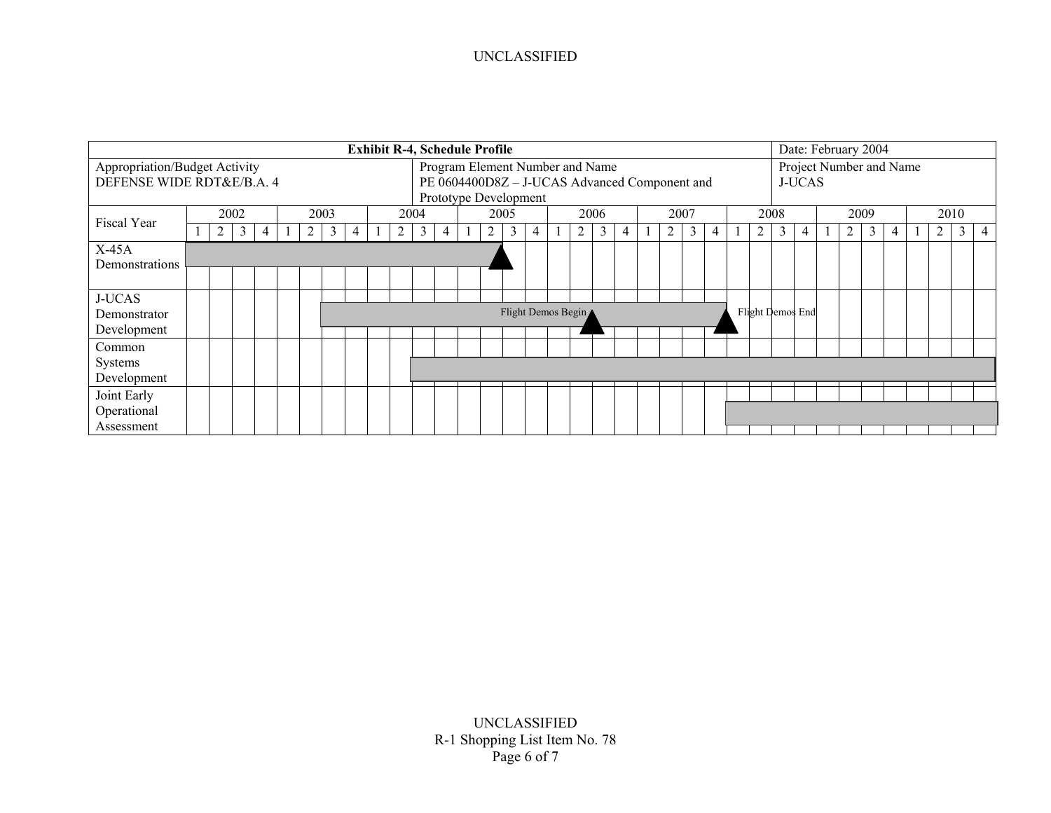|                               | <b>Exhibit R-4, Schedule Profile</b> |   |   |  |  |   |      |                                               |  |                                 |                |   |  | Date: February 2004 |                       |   |  |   |               |   |                         |      |   |  |                  |      |   |  |   |      |   |  |   |              |   |
|-------------------------------|--------------------------------------|---|---|--|--|---|------|-----------------------------------------------|--|---------------------------------|----------------|---|--|---------------------|-----------------------|---|--|---|---------------|---|-------------------------|------|---|--|------------------|------|---|--|---|------|---|--|---|--------------|---|
| Appropriation/Budget Activity |                                      |   |   |  |  |   |      |                                               |  | Program Element Number and Name |                |   |  |                     |                       |   |  |   |               |   | Project Number and Name |      |   |  |                  |      |   |  |   |      |   |  |   |              |   |
| DEFENSE WIDE RDT&E/B.A. 4     |                                      |   |   |  |  |   |      | PE 0604400D8Z - J-UCAS Advanced Component and |  |                                 |                |   |  |                     |                       |   |  |   | <b>J-UCAS</b> |   |                         |      |   |  |                  |      |   |  |   |      |   |  |   |              |   |
|                               |                                      |   |   |  |  |   |      |                                               |  |                                 |                |   |  |                     | Prototype Development |   |  |   |               |   |                         |      |   |  |                  |      |   |  |   |      |   |  |   |              |   |
| Fiscal Year                   | 2002                                 |   |   |  |  |   | 2003 |                                               |  |                                 | 2004           |   |  |                     | 2005                  |   |  |   | 2006          |   |                         | 2007 |   |  |                  | 2008 |   |  |   | 2009 |   |  |   | 2010         |   |
|                               |                                      | 2 | 3 |  |  | 2 | 3    | 4                                             |  | 2                               | $\mathfrak{z}$ | 4 |  | 2                   | 3                     | 4 |  | 2 | 3             | 4 |                         | 2    | 3 |  | 2                | 3    | 4 |  | 2 | 3    | 4 |  | 2 | $\mathbf{3}$ | 4 |
| $X-45A$                       |                                      |   |   |  |  |   |      |                                               |  |                                 |                |   |  |                     |                       |   |  |   |               |   |                         |      |   |  |                  |      |   |  |   |      |   |  |   |              |   |
| Demonstrations                |                                      |   |   |  |  |   |      |                                               |  |                                 |                |   |  |                     |                       |   |  |   |               |   |                         |      |   |  |                  |      |   |  |   |      |   |  |   |              |   |
|                               |                                      |   |   |  |  |   |      |                                               |  |                                 |                |   |  |                     |                       |   |  |   |               |   |                         |      |   |  |                  |      |   |  |   |      |   |  |   |              |   |
| <b>J-UCAS</b>                 |                                      |   |   |  |  |   |      |                                               |  |                                 |                |   |  |                     |                       |   |  |   |               |   |                         |      |   |  |                  |      |   |  |   |      |   |  |   |              |   |
| Demonstrator                  |                                      |   |   |  |  |   |      |                                               |  |                                 |                |   |  |                     | Flight Demos Begin ▲  |   |  |   |               |   |                         |      |   |  | Flight Demos End |      |   |  |   |      |   |  |   |              |   |
| Development                   |                                      |   |   |  |  |   |      |                                               |  |                                 |                |   |  |                     |                       |   |  |   |               |   |                         |      |   |  |                  |      |   |  |   |      |   |  |   |              |   |
| Common                        |                                      |   |   |  |  |   |      |                                               |  |                                 |                |   |  |                     |                       |   |  |   |               |   |                         |      |   |  |                  |      |   |  |   |      |   |  |   |              |   |
| Systems                       |                                      |   |   |  |  |   |      |                                               |  |                                 |                |   |  |                     |                       |   |  |   |               |   |                         |      |   |  |                  |      |   |  |   |      |   |  |   |              |   |
| Development                   |                                      |   |   |  |  |   |      |                                               |  |                                 |                |   |  |                     |                       |   |  |   |               |   |                         |      |   |  |                  |      |   |  |   |      |   |  |   |              |   |
| Joint Early                   |                                      |   |   |  |  |   |      |                                               |  |                                 |                |   |  |                     |                       |   |  |   |               |   |                         |      |   |  |                  |      |   |  |   |      |   |  |   |              |   |
| Operational                   |                                      |   |   |  |  |   |      |                                               |  |                                 |                |   |  |                     |                       |   |  |   |               |   |                         |      |   |  |                  |      |   |  |   |      |   |  |   |              |   |
| Assessment                    |                                      |   |   |  |  |   |      |                                               |  |                                 |                |   |  |                     |                       |   |  |   |               |   |                         |      |   |  |                  |      |   |  |   |      |   |  |   |              |   |